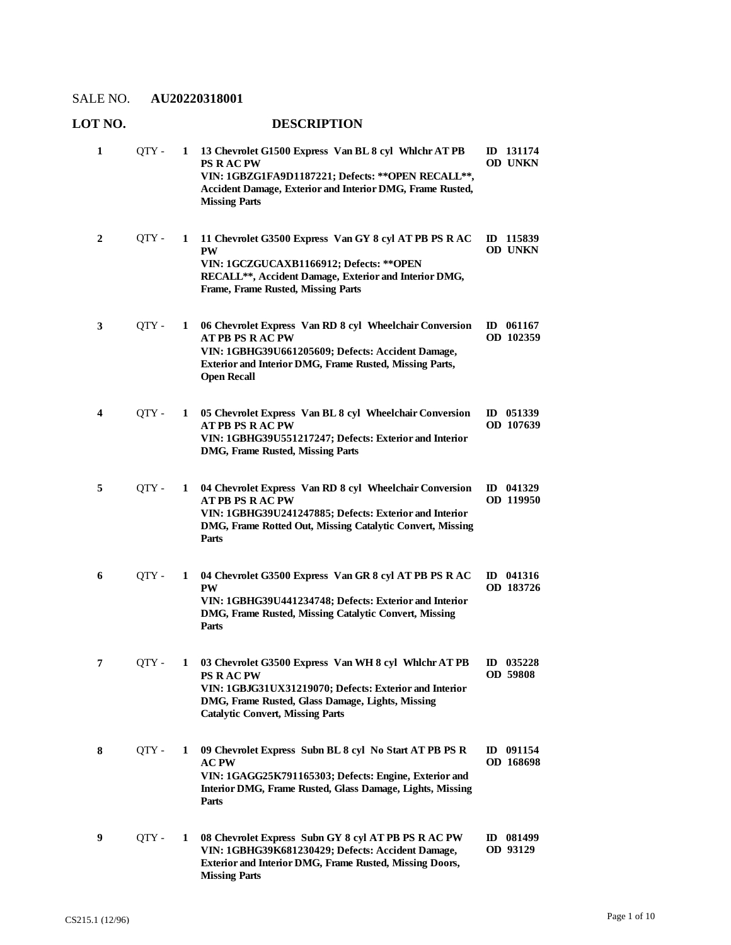| 1 | QTY - | 1 | 13 Chevrolet G1500 Express Van BL 8 cyl Whichr AT PB<br><b>PS RACPW</b><br>VIN: 1GBZG1FA9D1187221; Defects: ** OPEN RECALL **,<br>Accident Damage, Exterior and Interior DMG, Frame Rusted,<br><b>Missing Parts</b>                | ID 131174<br>OD UNKN        |
|---|-------|---|------------------------------------------------------------------------------------------------------------------------------------------------------------------------------------------------------------------------------------|-----------------------------|
| 2 | QTY - | 1 | 11 Chevrolet G3500 Express Van GY 8 cyl AT PB PS R AC<br><b>PW</b><br>VIN: 1GCZGUCAXB1166912; Defects: **OPEN<br>RECALL**, Accident Damage, Exterior and Interior DMG,<br><b>Frame, Frame Rusted, Missing Parts</b>                | ID 115839<br><b>OD UNKN</b> |
| 3 | QTY - | 1 | 06 Chevrolet Express Van RD 8 cyl Wheelchair Conversion<br><b>AT PB PS RAC PW</b><br>VIN: 1GBHG39U661205609; Defects: Accident Damage,<br>Exterior and Interior DMG, Frame Rusted, Missing Parts,<br><b>Open Recall</b>            | ID $061167$<br>OD 102359    |
| 4 | QTY - | 1 | 05 Chevrolet Express Van BL 8 cyl Wheelchair Conversion<br><b>AT PB PS RAC PW</b><br>VIN: 1GBHG39U551217247; Defects: Exterior and Interior<br>DMG, Frame Rusted, Missing Parts                                                    | ID $051339$<br>OD 107639    |
| 5 | QTY - | 1 | 04 Chevrolet Express Van RD 8 cyl Wheelchair Conversion<br><b>AT PB PS RAC PW</b><br>VIN: 1GBHG39U241247885; Defects: Exterior and Interior<br>DMG, Frame Rotted Out, Missing Catalytic Convert, Missing<br>Parts                  | ID 041329<br>OD 119950      |
| 6 | QTY - | 1 | 04 Chevrolet G3500 Express Van GR 8 cyl AT PB PS R AC<br><b>PW</b><br>VIN: 1GBHG39U441234748; Defects: Exterior and Interior<br>DMG, Frame Rusted, Missing Catalytic Convert, Missing<br>Parts                                     | ID 041316<br>OD 183726      |
| 7 | OTY - | 1 | 03 Chevrolet G3500 Express Van WH 8 cyl Whlchr AT PB<br><b>PS R AC PW</b><br>VIN: 1GBJG31UX31219070; Defects: Exterior and Interior<br>DMG, Frame Rusted, Glass Damage, Lights, Missing<br><b>Catalytic Convert, Missing Parts</b> | ID $035228$<br>OD 59808     |
| 8 | OTY - | 1 | 09 Chevrolet Express Subn BL 8 cyl No Start AT PB PS R<br><b>AC PW</b><br>VIN: 1GAGG25K791165303; Defects: Engine, Exterior and<br>Interior DMG, Frame Rusted, Glass Damage, Lights, Missing<br>Parts                              | ID 091154<br>OD 168698      |
| 9 | QTY - | 1 | 08 Chevrolet Express Subn GY 8 cyl AT PB PS R AC PW<br>VIN: 1GBHG39K681230429; Defects: Accident Damage,<br>Exterior and Interior DMG, Frame Rusted, Missing Doors,<br><b>Missing Parts</b>                                        | ID 081499<br>OD 93129       |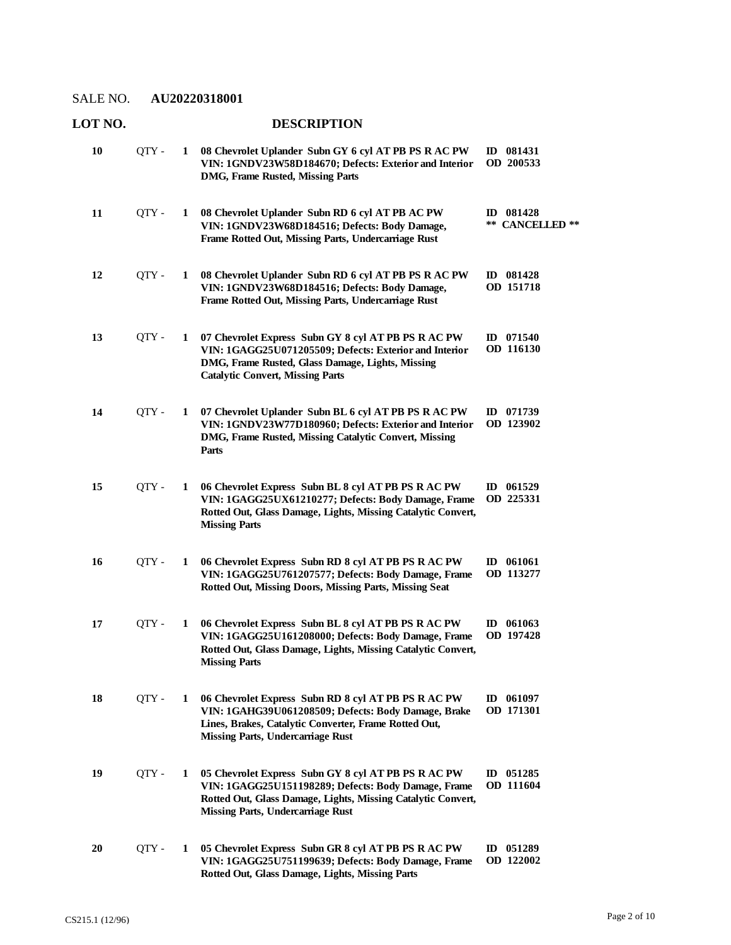#### **LOT NO. DESCRIPTION 08 Chevrolet Uplander Subn GY 6 cyl AT PB PS R AC PW**  QTY - **1 ID 081431 VIN: 1GNDV23W58D184670; Defects: Exterior and Interior DMG, Frame Rusted, Missing Parts OD 200533 10 08 Chevrolet Uplander Subn RD 6 cyl AT PB AC PW**  QTY - **1 ID 081428 VIN: 1GNDV23W68D184516; Defects: Body Damage, Frame Rotted Out, Missing Parts, Undercarriage Rust \*\* CANCELLED \*\* 11 08 Chevrolet Uplander Subn RD 6 cyl AT PB PS R AC PW**  QTY - **1 ID 081428 VIN: 1GNDV23W68D184516; Defects: Body Damage, Frame Rotted Out, Missing Parts, Undercarriage Rust OD 151718 12 07 Chevrolet Express Subn GY 8 cyl AT PB PS R AC PW**  QTY - **1 ID 071540 VIN: 1GAGG25U071205509; Defects: Exterior and Interior DMG, Frame Rusted, Glass Damage, Lights, Missing Catalytic Convert, Missing Parts OD 116130 13 07 Chevrolet Uplander Subn BL 6 cyl AT PB PS R AC PW**  QTY - **1 ID 071739 VIN: 1GNDV23W77D180960; Defects: Exterior and Interior DMG, Frame Rusted, Missing Catalytic Convert, Missing Parts OD 123902 14 06 Chevrolet Express Subn BL 8 cyl AT PB PS R AC PW**  QTY - **1 ID 061529 VIN: 1GAGG25UX61210277; Defects: Body Damage, Frame Rotted Out, Glass Damage, Lights, Missing Catalytic Convert, Missing Parts OD 225331 15 06 Chevrolet Express Subn RD 8 cyl AT PB PS R AC PW**  QTY - **1 ID 061061 VIN: 1GAGG25U761207577; Defects: Body Damage, Frame Rotted Out, Missing Doors, Missing Parts, Missing Seat OD 113277 16 06 Chevrolet Express Subn BL 8 cyl AT PB PS R AC PW**  QTY - **1 ID 061063 VIN: 1GAGG25U161208000; Defects: Body Damage, Frame Rotted Out, Glass Damage, Lights, Missing Catalytic Convert, Missing Parts OD 197428 17 06 Chevrolet Express Subn RD 8 cyl AT PB PS R AC PW**  QTY - **1 ID 061097 VIN: 1GAHG39U061208509; Defects: Body Damage, Brake Lines, Brakes, Catalytic Converter, Frame Rotted Out, Missing Parts, Undercarriage Rust OD 171301 18 05 Chevrolet Express Subn GY 8 cyl AT PB PS R AC PW**  QTY - **1 ID 051285 VIN: 1GAGG25U151198289; Defects: Body Damage, Frame Rotted Out, Glass Damage, Lights, Missing Catalytic Convert, Missing Parts, Undercarriage Rust OD 111604 19 05 Chevrolet Express Subn GR 8 cyl AT PB PS R AC PW**  QTY - **1 ID 051289 VIN: 1GAGG25U751199639; Defects: Body Damage, Frame Rotted Out, Glass Damage, Lights, Missing Parts OD 122002 20**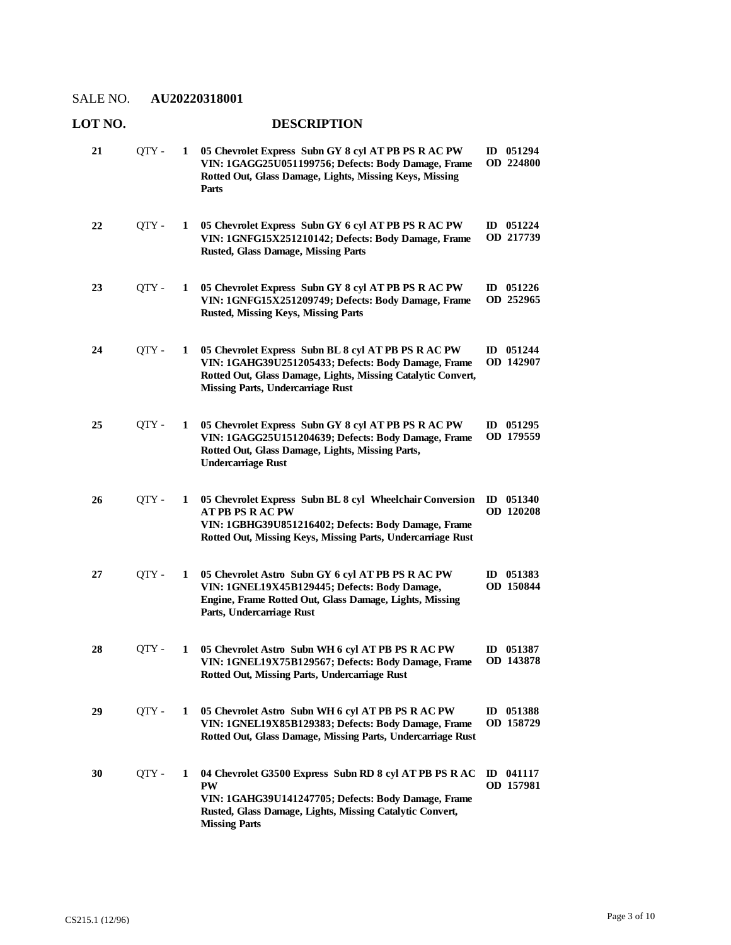#### **LOT NO. DESCRIPTION 05 Chevrolet Express Subn GY 8 cyl AT PB PS R AC PW**  QTY - **1 ID 051294 VIN: 1GAGG25U051199756; Defects: Body Damage, Frame Rotted Out, Glass Damage, Lights, Missing Keys, Missing Parts OD 224800 21 05 Chevrolet Express Subn GY 6 cyl AT PB PS R AC PW**  QTY - **1 ID 051224 VIN: 1GNFG15X251210142; Defects: Body Damage, Frame Rusted, Glass Damage, Missing Parts OD 217739 22 05 Chevrolet Express Subn GY 8 cyl AT PB PS R AC PW**  QTY - **1 ID 051226 VIN: 1GNFG15X251209749; Defects: Body Damage, Frame Rusted, Missing Keys, Missing Parts OD 252965 23 05 Chevrolet Express Subn BL 8 cyl AT PB PS R AC PW**  QTY - **1 ID 051244 VIN: 1GAHG39U251205433; Defects: Body Damage, Frame Rotted Out, Glass Damage, Lights, Missing Catalytic Convert, Missing Parts, Undercarriage Rust OD 142907 24 05 Chevrolet Express Subn GY 8 cyl AT PB PS R AC PW**  QTY - **1 ID 051295 VIN: 1GAGG25U151204639; Defects: Body Damage, Frame Rotted Out, Glass Damage, Lights, Missing Parts, Undercarriage Rust OD 179559 25 05 Chevrolet Express Subn BL 8 cyl Wheelchair Conversion**  QTY - **1 ID 051340 AT PB PS R AC PW VIN: 1GBHG39U851216402; Defects: Body Damage, Frame Rotted Out, Missing Keys, Missing Parts, Undercarriage Rust OD 120208 26 05 Chevrolet Astro Subn GY 6 cyl AT PB PS R AC PW**  QTY - **1 ID 051383 VIN: 1GNEL19X45B129445; Defects: Body Damage, Engine, Frame Rotted Out, Glass Damage, Lights, Missing Parts, Undercarriage Rust OD 150844 27 05 Chevrolet Astro Subn WH 6 cyl AT PB PS R AC PW**  QTY - **1 ID 051387 VIN: 1GNEL19X75B129567; Defects: Body Damage, Frame Rotted Out, Missing Parts, Undercarriage Rust OD 143878 28 05 Chevrolet Astro Subn WH 6 cyl AT PB PS R AC PW**  QTY - **1 ID 051388 VIN: 1GNEL19X85B129383; Defects: Body Damage, Frame Rotted Out, Glass Damage, Missing Parts, Undercarriage Rust OD 158729 29 04 Chevrolet G3500 Express Subn RD 8 cyl AT PB PS R AC**  QTY - **1 ID 041117 PW VIN: 1GAHG39U141247705; Defects: Body Damage, Frame Rusted, Glass Damage, Lights, Missing Catalytic Convert, Missing Parts OD 157981 30**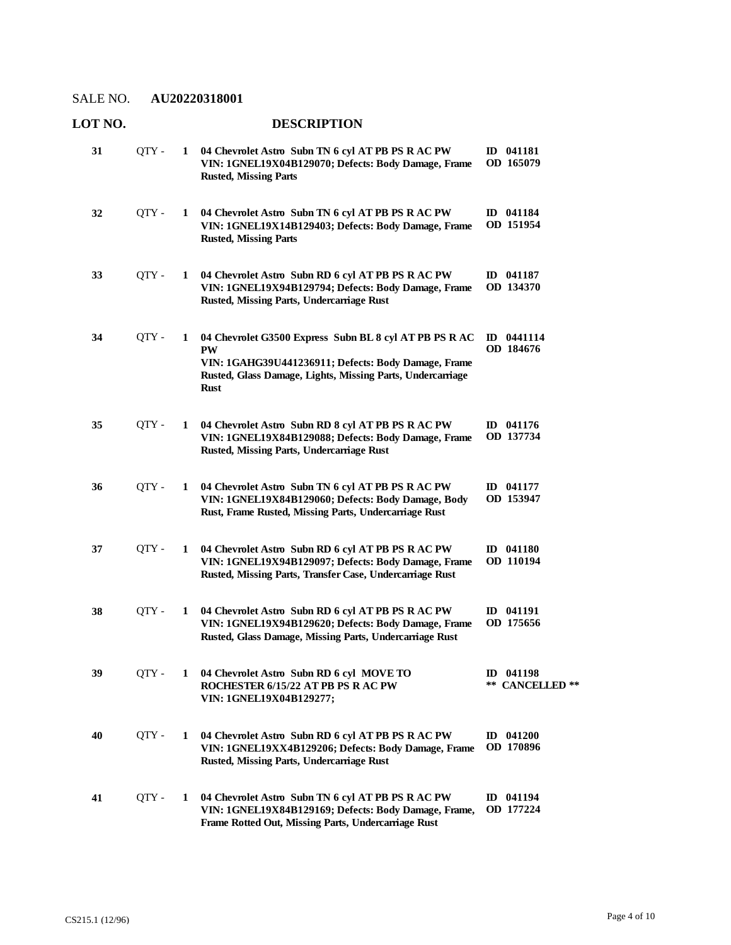| LOT NO. |       |              | <b>DESCRIPTION</b>                                                                                                                                                                               |                                        |
|---------|-------|--------------|--------------------------------------------------------------------------------------------------------------------------------------------------------------------------------------------------|----------------------------------------|
| 31      | QTY - |              | 1 04 Chevrolet Astro Subn TN 6 cyl AT PB PS R AC PW<br>VIN: 1GNEL19X04B129070; Defects: Body Damage, Frame<br><b>Rusted, Missing Parts</b>                                                       | ID 041181<br>OD 165079                 |
| 32      | QTY-  | 1            | 04 Chevrolet Astro Subn TN 6 cyl AT PB PS R AC PW<br>VIN: 1GNEL19X14B129403; Defects: Body Damage, Frame<br><b>Rusted, Missing Parts</b>                                                         | ID 041184<br>OD 151954                 |
| 33      | QTY-  | 1            | 04 Chevrolet Astro Subn RD 6 cyl AT PB PS R AC PW<br>VIN: 1GNEL19X94B129794; Defects: Body Damage, Frame<br>Rusted, Missing Parts, Undercarriage Rust                                            | ID 041187<br>OD 134370                 |
| 34      | QTY-  | $\mathbf{1}$ | 04 Chevrolet G3500 Express Subn BL 8 cyl AT PB PS R AC<br>PW<br>VIN: 1GAHG39U441236911; Defects: Body Damage, Frame<br>Rusted, Glass Damage, Lights, Missing Parts, Undercarriage<br><b>Rust</b> | ID 0441114<br>OD 184676                |
| 35      | QTY-  | 1            | 04 Chevrolet Astro Subn RD 8 cyl AT PB PS R AC PW<br>VIN: 1GNEL19X84B129088; Defects: Body Damage, Frame<br>Rusted, Missing Parts, Undercarriage Rust                                            | ID 041176<br>OD 137734                 |
| 36      | QTY-  | 1            | 04 Chevrolet Astro Subn TN 6 cyl AT PB PS R AC PW<br>VIN: 1GNEL19X84B129060; Defects: Body Damage, Body<br>Rust, Frame Rusted, Missing Parts, Undercarriage Rust                                 | ID 041177<br>OD 153947                 |
| 37      | QTY - | 1            | 04 Chevrolet Astro Subn RD 6 cyl AT PB PS R AC PW<br>VIN: 1GNEL19X94B129097; Defects: Body Damage, Frame<br>Rusted, Missing Parts, Transfer Case, Undercarriage Rust                             | ID 041180<br>OD 110194                 |
| 38      | QTY-  | 1            | 04 Chevrolet Astro Subn RD 6 cyl AT PB PS R AC PW<br>VIN: 1GNEL19X94B129620; Defects: Body Damage, Frame<br>Rusted, Glass Damage, Missing Parts, Undercarriage Rust                              | ID 041191<br>OD 175656                 |
| 39      | QTY - |              | 1 04 Chevrolet Astro Subn RD 6 cyl MOVE TO<br>ROCHESTER 6/15/22 AT PB PS R AC PW<br>VIN: 1GNEL19X04B129277;                                                                                      | ID 041198<br>**<br><b>CANCELLED</b> ** |
| 40      | QTY - | 1            | 04 Chevrolet Astro Subn RD 6 cyl AT PB PS R AC PW<br>VIN: 1GNEL19XX4B129206; Defects: Body Damage, Frame<br>Rusted, Missing Parts, Undercarriage Rust                                            | $ID$ 041200<br>OD 170896               |
| 41      | QTY - | 1            | 04 Chevrolet Astro Subn TN 6 cyl AT PB PS R AC PW<br>VIN: 1GNEL19X84B129169; Defects: Body Damage, Frame,<br>Frame Rotted Out, Missing Parts, Undercarriage Rust                                 | ID 041194<br>OD 177224                 |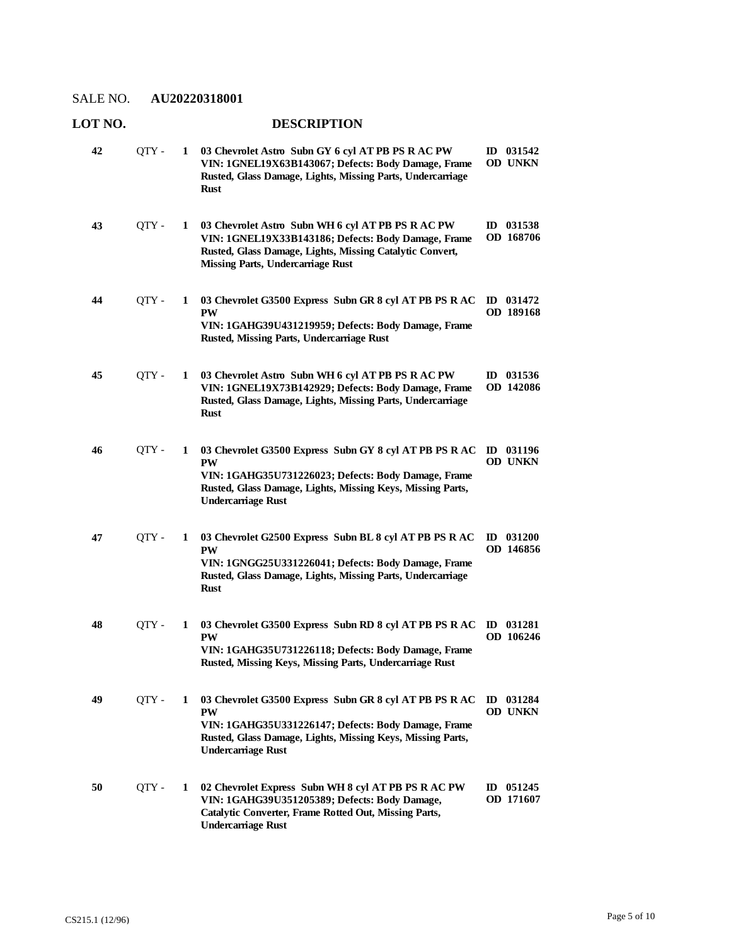| <b>LOT NO.</b> |       |   | <b>DESCRIPTION</b>                                                                                                                                                                                                    |                               |
|----------------|-------|---|-----------------------------------------------------------------------------------------------------------------------------------------------------------------------------------------------------------------------|-------------------------------|
| 42             | QTY - | 1 | 03 Chevrolet Astro Subn GY 6 cyl AT PB PS R AC PW<br>VIN: 1GNEL19X63B143067; Defects: Body Damage, Frame<br>Rusted, Glass Damage, Lights, Missing Parts, Undercarriage<br><b>Rust</b>                                 | ID 031542<br><b>OD UNKN</b>   |
| 43             | QTY - | 1 | 03 Chevrolet Astro Subn WH 6 cyl AT PB PS R AC PW<br>VIN: 1GNEL19X33B143186; Defects: Body Damage, Frame<br>Rusted, Glass Damage, Lights, Missing Catalytic Convert,<br><b>Missing Parts, Undercarriage Rust</b>      | ID 031538<br>OD 168706        |
| 44             | QTY - | 1 | 03 Chevrolet G3500 Express Subn GR 8 cyl AT PB PS R AC<br><b>PW</b><br>VIN: 1GAHG39U431219959; Defects: Body Damage, Frame<br>Rusted, Missing Parts, Undercarriage Rust                                               | ID 031472<br><b>OD</b> 189168 |
| 45             | QTY - | 1 | 03 Chevrolet Astro Subn WH 6 cyl AT PB PS R AC PW<br>VIN: 1GNEL19X73B142929; Defects: Body Damage, Frame<br>Rusted, Glass Damage, Lights, Missing Parts, Undercarriage<br><b>Rust</b>                                 | ID 031536<br>OD 142086        |
| 46             | QTY - | 1 | 03 Chevrolet G3500 Express Subn GY 8 cyl AT PB PS R AC<br><b>PW</b><br>VIN: 1GAHG35U731226023; Defects: Body Damage, Frame<br>Rusted, Glass Damage, Lights, Missing Keys, Missing Parts,<br><b>Undercarriage Rust</b> | ID 031196<br>OD UNKN          |
| 47             | QTY - | 1 | 03 Chevrolet G2500 Express Subn BL 8 cyl AT PB PS R AC<br><b>PW</b><br>VIN: 1GNGG25U331226041; Defects: Body Damage, Frame<br>Rusted, Glass Damage, Lights, Missing Parts, Undercarriage<br><b>Rust</b>               | $ID$ 031200<br>OD 146856      |
| 48             | QTY - | 1 | 03 Chevrolet G3500 Express Subn RD 8 cyl AT PB PS R AC<br><b>PW</b><br>VIN: 1GAHG35U731226118; Defects: Body Damage, Frame<br>Rusted, Missing Keys, Missing Parts, Undercarriage Rust                                 | ID 031281<br>OD 106246        |
| 49             | QTY - | 1 | 03 Chevrolet G3500 Express Subn GR 8 cyl AT PB PS R AC<br><b>PW</b><br>VIN: 1GAHG35U331226147; Defects: Body Damage, Frame<br>Rusted, Glass Damage, Lights, Missing Keys, Missing Parts,<br><b>Undercarriage Rust</b> | ID 031284<br><b>OD UNKN</b>   |
| 50             | QTY - | 1 | 02 Chevrolet Express Subn WH 8 cyl AT PB PS R AC PW<br>VIN: 1GAHG39U351205389; Defects: Body Damage,<br>Catalytic Converter, Frame Rotted Out, Missing Parts,<br><b>Undercarriage Rust</b>                            | ID 051245<br>OD 171607        |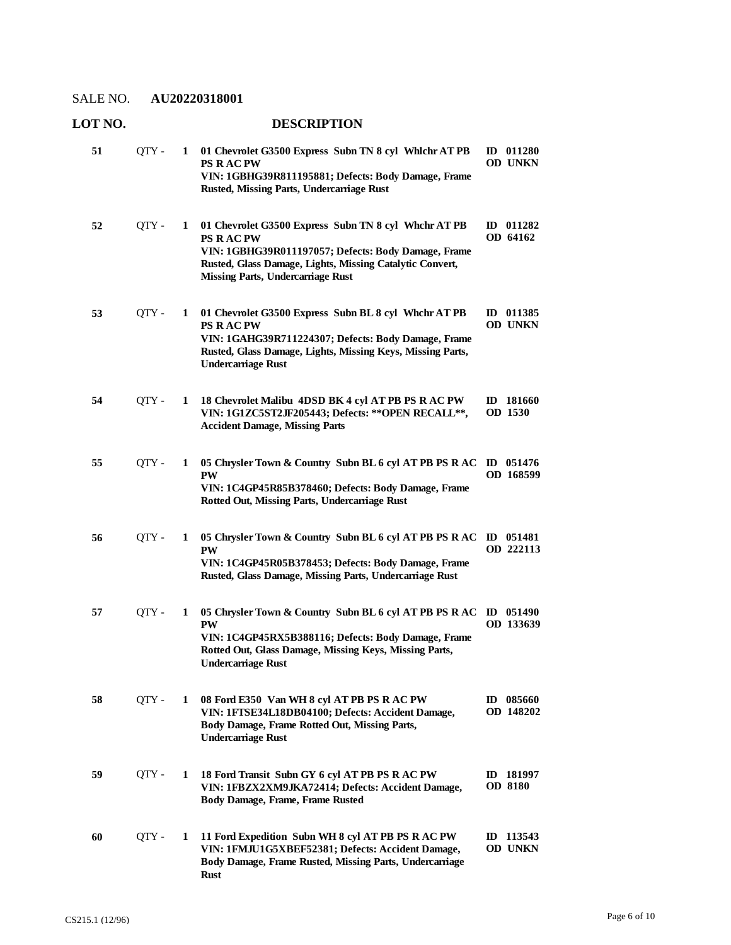| 51 | QTY - | 1 | 01 Chevrolet G3500 Express Subn TN 8 cyl Whichr AT PB<br><b>PS RACPW</b><br>VIN: 1GBHG39R811195881; Defects: Body Damage, Frame<br>Rusted, Missing Parts, Undercarriage Rust                                                           | ID 011280<br><b>OD UNKN</b> |
|----|-------|---|----------------------------------------------------------------------------------------------------------------------------------------------------------------------------------------------------------------------------------------|-----------------------------|
| 52 | OTY - | 1 | 01 Chevrolet G3500 Express Subn TN 8 cyl Whchr AT PB<br><b>PS RACPW</b><br>VIN: 1GBHG39R011197057; Defects: Body Damage, Frame<br>Rusted, Glass Damage, Lights, Missing Catalytic Convert,<br><b>Missing Parts, Undercarriage Rust</b> | ID 011282<br>OD 64162       |
| 53 | QTY - | 1 | 01 Chevrolet G3500 Express Subn BL 8 cyl Whchr AT PB<br><b>PS RACPW</b><br>VIN: 1GAHG39R711224307; Defects: Body Damage, Frame<br>Rusted, Glass Damage, Lights, Missing Keys, Missing Parts,<br><b>Undercarriage Rust</b>              | ID 011385<br><b>OD UNKN</b> |
| 54 | QTY-  | 1 | 18 Chevrolet Malibu 4DSD BK 4 cyl AT PB PS R AC PW<br>VIN: 1G1ZC5ST2JF205443; Defects: ** OPEN RECALL **,<br><b>Accident Damage, Missing Parts</b>                                                                                     | ID 181660<br>OD 1530        |
| 55 | QTY - | 1 | 05 Chrysler Town & Country Subn BL 6 cyl AT PB PS R AC<br><b>PW</b><br>VIN: 1C4GP45R85B378460; Defects: Body Damage, Frame<br>Rotted Out, Missing Parts, Undercarriage Rust                                                            | ID 051476<br>OD 168599      |
| 56 | QTY - | 1 | 05 Chrysler Town & Country Subn BL 6 cyl AT PB PS R AC<br><b>PW</b><br>VIN: 1C4GP45R05B378453; Defects: Body Damage, Frame<br>Rusted, Glass Damage, Missing Parts, Undercarriage Rust                                                  | $ID$ 051481<br>OD 222113    |
| 57 | QTY-  | 1 | 05 Chrysler Town & Country Subn BL 6 cyl AT PB PS R AC<br><b>PW</b><br>VIN: 1C4GP45RX5B388116; Defects: Body Damage, Frame<br>Rotted Out, Glass Damage, Missing Keys, Missing Parts,<br><b>Undercarriage Rust</b>                      | ID 051490<br>OD 133639      |
| 58 | QTY - | 1 | 08 Ford E350 Van WH 8 cyl AT PB PS R AC PW<br>VIN: 1FTSE34L18DB04100; Defects: Accident Damage,<br>Body Damage, Frame Rotted Out, Missing Parts,<br><b>Undercarriage Rust</b>                                                          | ID 085660<br>OD 148202      |
| 59 | QTY - | 1 | 18 Ford Transit Subn GY 6 cyl AT PB PS R AC PW<br>VIN: 1FBZX2XM9JKA72414; Defects: Accident Damage,<br><b>Body Damage, Frame, Frame Rusted</b>                                                                                         | ID 181997<br><b>OD 8180</b> |
| 60 | QTY-  | 1 | 11 Ford Expedition Subn WH 8 cyl AT PB PS R AC PW<br>VIN: 1FMJU1G5XBEF52381; Defects: Accident Damage,<br>Body Damage, Frame Rusted, Missing Parts, Undercarriage<br>Rust                                                              | ID 113543<br>OD UNKN        |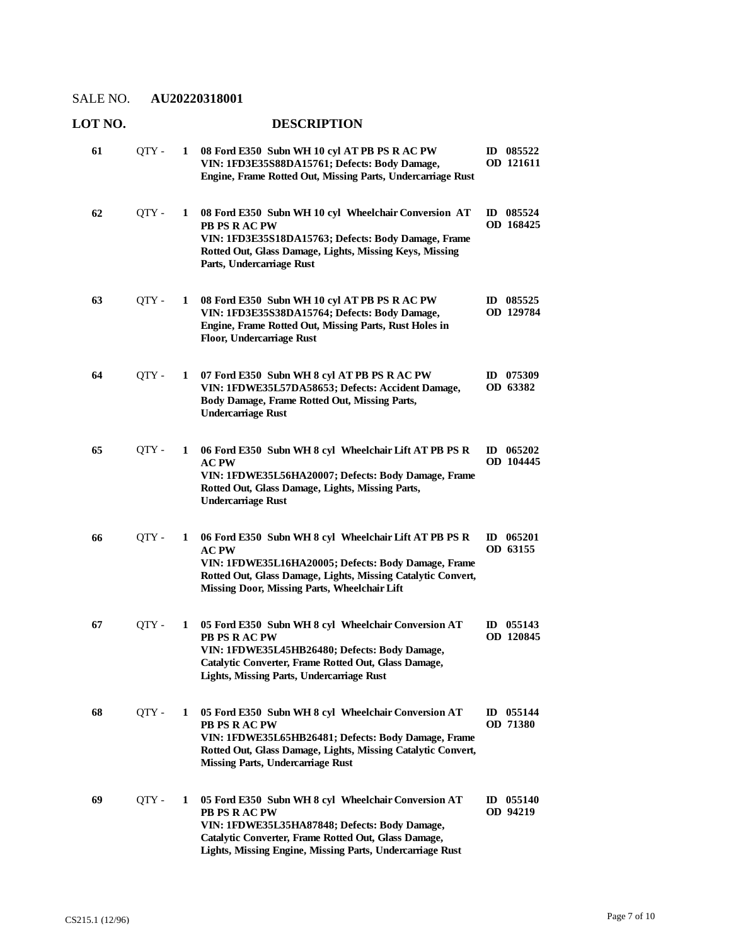| 61 | OTY - | 1 | 08 Ford E350 Subn WH 10 cyl AT PB PS R AC PW<br>VIN: 1FD3E35S88DA15761; Defects: Body Damage,<br>Engine, Frame Rotted Out, Missing Parts, Undercarriage Rust                                                                               | ID 085522<br>OD 121611              |
|----|-------|---|--------------------------------------------------------------------------------------------------------------------------------------------------------------------------------------------------------------------------------------------|-------------------------------------|
| 62 | QTY - | 1 | 08 Ford E350 Subn WH 10 cyl Wheelchair Conversion AT<br>PB PS R AC PW<br>VIN: 1FD3E35S18DA15763; Defects: Body Damage, Frame<br>Rotted Out, Glass Damage, Lights, Missing Keys, Missing<br>Parts, Undercarriage Rust                       | 085524<br>$\mathbf{D}$<br>OD 168425 |
| 63 | OTY - | 1 | 08 Ford E350 Subn WH 10 cyl AT PB PS R AC PW<br>VIN: 1FD3E35S38DA15764; Defects: Body Damage,<br>Engine, Frame Rotted Out, Missing Parts, Rust Holes in<br><b>Floor, Undercarriage Rust</b>                                                | ID 085525<br>OD 129784              |
| 64 | QTY-  | 1 | 07 Ford E350 Subn WH 8 cyl AT PB PS R AC PW<br>VIN: 1FDWE35L57DA58653; Defects: Accident Damage,<br>Body Damage, Frame Rotted Out, Missing Parts,<br><b>Undercarriage Rust</b>                                                             | ID 075309<br>OD 63382               |
| 65 | QTY-  | 1 | 06 Ford E350 Subn WH 8 cyl Wheelchair Lift AT PB PS R<br><b>AC PW</b><br>VIN: 1FDWE35L56HA20007; Defects: Body Damage, Frame<br>Rotted Out, Glass Damage, Lights, Missing Parts,<br><b>Undercarriage Rust</b>                              | ID $065202$<br>OD 104445            |
| 66 | QTY - | 1 | 06 Ford E350 Subn WH 8 cyl Wheelchair Lift AT PB PS R<br>AC PW<br>VIN: 1FDWE35L16HA20005; Defects: Body Damage, Frame<br>Rotted Out, Glass Damage, Lights, Missing Catalytic Convert,<br>Missing Door, Missing Parts, Wheelchair Lift      | $ID$ 065201<br>OD 63155             |
| 67 | OTY - | 1 | 05 Ford E350 Subn WH 8 cyl Wheelchair Conversion AT<br>PB PS R AC PW<br>VIN: 1FDWE35L45HB26480; Defects: Body Damage,<br>Catalytic Converter, Frame Rotted Out, Glass Damage,<br><b>Lights, Missing Parts, Undercarriage Rust</b>          | ID $055143$<br>OD 120845            |
| 68 | QTY-  | 1 | 05 Ford E350 Subn WH 8 cyl Wheelchair Conversion AT<br>PB PS R AC PW<br>VIN: 1FDWE35L65HB26481; Defects: Body Damage, Frame<br>Rotted Out, Glass Damage, Lights, Missing Catalytic Convert,<br><b>Missing Parts, Undercarriage Rust</b>    | ID 055144<br><b>OD 71380</b>        |
| 69 | QTY-  | 1 | 05 Ford E350 Subn WH 8 cyl Wheelchair Conversion AT<br>PB PS R AC PW<br>VIN: 1FDWE35L35HA87848; Defects: Body Damage,<br>Catalytic Converter, Frame Rotted Out, Glass Damage,<br>Lights, Missing Engine, Missing Parts, Undercarriage Rust | ID $055140$<br>OD 94219             |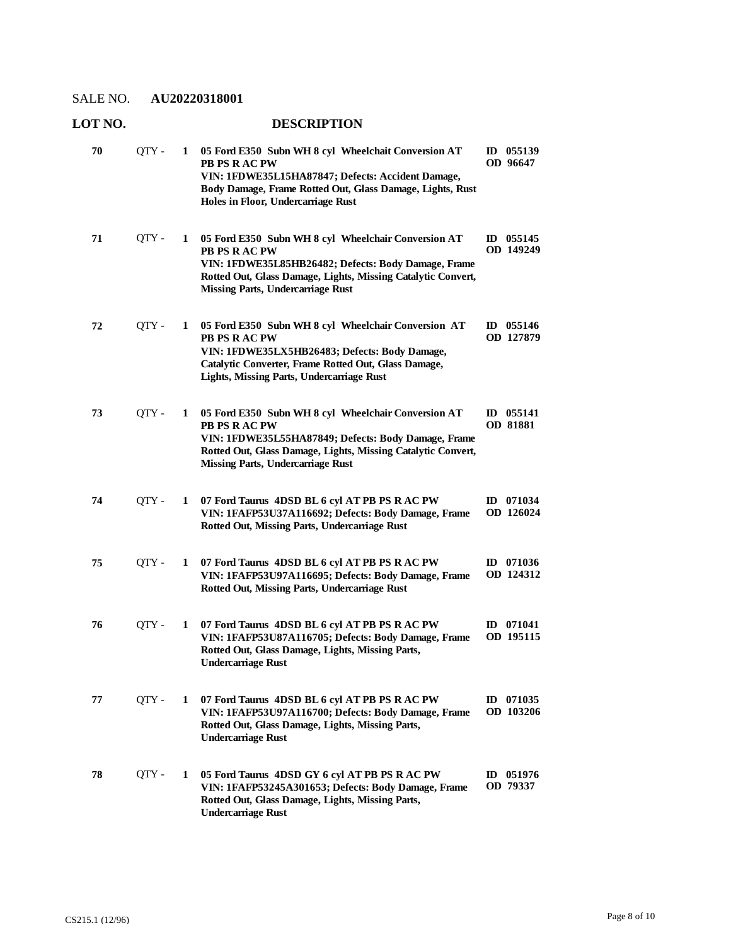| 70 | QTY-  | 1 | 05 Ford E350 Subn WH 8 cyl Wheelchait Conversion AT<br>PB PS R AC PW<br>VIN: 1FDWE35L15HA87847; Defects: Accident Damage,<br>Body Damage, Frame Rotted Out, Glass Damage, Lights, Rust<br>Holes in Floor, Undercarriage Rust            | $ID$ 055139<br>OD 96647  |
|----|-------|---|-----------------------------------------------------------------------------------------------------------------------------------------------------------------------------------------------------------------------------------------|--------------------------|
| 71 | QTY - | 1 | 05 Ford E350 Subn WH 8 cyl Wheelchair Conversion AT<br>PB PS R AC PW<br>VIN: 1FDWE35L85HB26482; Defects: Body Damage, Frame<br>Rotted Out, Glass Damage, Lights, Missing Catalytic Convert,<br><b>Missing Parts, Undercarriage Rust</b> | ID $055145$<br>OD 149249 |
| 72 | QTY-  | 1 | 05 Ford E350 Subn WH 8 cyl Wheelchair Conversion AT<br>PB PS R AC PW<br>VIN: 1FDWE35LX5HB26483; Defects: Body Damage,<br>Catalytic Converter, Frame Rotted Out, Glass Damage,<br>Lights, Missing Parts, Undercarriage Rust              | ID 055146<br>OD 127879   |
| 73 | OTY-  | 1 | 05 Ford E350 Subn WH 8 cyl Wheelchair Conversion AT<br>PB PS R AC PW<br>VIN: 1FDWE35L55HA87849; Defects: Body Damage, Frame<br>Rotted Out, Glass Damage, Lights, Missing Catalytic Convert,<br><b>Missing Parts, Undercarriage Rust</b> | $ID$ 055141<br>OD 81881  |
| 74 | QTY-  | 1 | 07 Ford Taurus 4DSD BL 6 cyl AT PB PS R AC PW<br>VIN: 1FAFP53U37A116692; Defects: Body Damage, Frame<br>Rotted Out, Missing Parts, Undercarriage Rust                                                                                   | ID 071034<br>OD 126024   |
| 75 | QTY-  | 1 | 07 Ford Taurus 4DSD BL 6 cyl AT PB PS R AC PW<br>VIN: 1FAFP53U97A116695; Defects: Body Damage, Frame<br>Rotted Out, Missing Parts, Undercarriage Rust                                                                                   | ID 071036<br>OD 124312   |
| 76 | QTY-  | 1 | 07 Ford Taurus 4DSD BL 6 cyl AT PB PS R AC PW<br>VIN: 1FAFP53U87A116705; Defects: Body Damage, Frame<br>Rotted Out, Glass Damage, Lights, Missing Parts,<br><b>Undercarriage Rust</b>                                                   | $ID$ 071041<br>OD 195115 |
| 77 | QTY - | 1 | 07 Ford Taurus 4DSD BL 6 cyl AT PB PS R AC PW<br>VIN: 1FAFP53U97A116700; Defects: Body Damage, Frame<br>Rotted Out, Glass Damage, Lights, Missing Parts,<br><b>Undercarriage Rust</b>                                                   | ID 071035<br>OD 103206   |
| 78 | QTY - | 1 | 05 Ford Taurus 4DSD GY 6 cyl AT PB PS R AC PW<br>VIN: 1FAFP53245A301653; Defects: Body Damage, Frame<br>Rotted Out, Glass Damage, Lights, Missing Parts,<br><b>Undercarriage Rust</b>                                                   | $ID$ 051976<br>OD 79337  |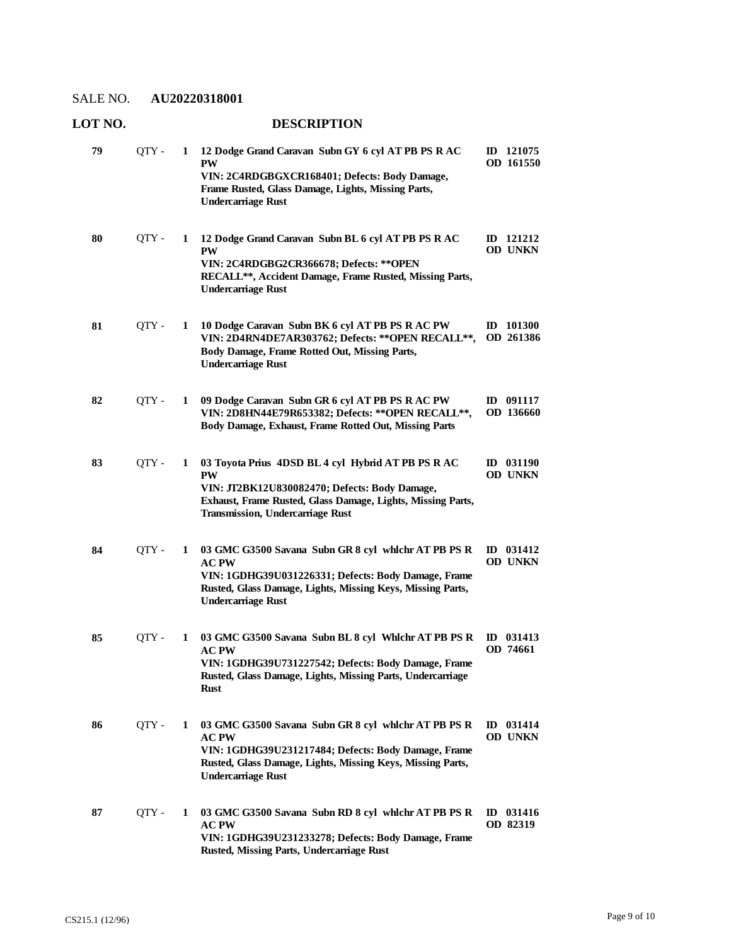| 79 | QTY-  | 1 | 12 Dodge Grand Caravan Subn GY 6 cyl AT PB PS R AC<br><b>PW</b><br>VIN: 2C4RDGBGXCR168401; Defects: Body Damage,<br>Frame Rusted, Glass Damage, Lights, Missing Parts,<br><b>Undercarriage Rust</b>                        | ID 121075<br>OD 161550             |
|----|-------|---|----------------------------------------------------------------------------------------------------------------------------------------------------------------------------------------------------------------------------|------------------------------------|
| 80 | QTY - | 1 | 12 Dodge Grand Caravan Subn BL 6 cyl AT PB PS R AC<br><b>PW</b><br>VIN: 2C4RDGBG2CR366678; Defects: ** OPEN<br>RECALL**, Accident Damage, Frame Rusted, Missing Parts,<br><b>Undercarriage Rust</b>                        | ID 121212<br>OD UNKN               |
| 81 | QTY - | 1 | 10 Dodge Caravan Subn BK 6 cyl AT PB PS R AC PW<br>VIN: 2D4RN4DE7AR303762; Defects: ** OPEN RECALL **,<br>Body Damage, Frame Rotted Out, Missing Parts,<br><b>Undercarriage Rust</b>                                       | ID 101300<br>OD 261386             |
| 82 | QTY-  | 1 | 09 Dodge Caravan Subn GR 6 cyl AT PB PS R AC PW<br>VIN: 2D8HN44E79R653382; Defects: ** OPEN RECALL **,<br>Body Damage, Exhaust, Frame Rotted Out, Missing Parts                                                            | ID 091117<br>OD 136660             |
| 83 | QTY - | 1 | 03 Toyota Prius 4DSD BL 4 cyl Hybrid AT PB PS R AC<br><b>PW</b><br>VIN: JT2BK12U830082470; Defects: Body Damage,<br>Exhaust, Frame Rusted, Glass Damage, Lights, Missing Parts,<br><b>Transmission, Undercarriage Rust</b> | ID 031190<br><b>OD UNKN</b>        |
| 84 | QTY - | 1 | 03 GMC G3500 Savana Subn GR 8 cyl which AT PB PS R<br><b>AC PW</b><br>VIN: 1GDHG39U031226331; Defects: Body Damage, Frame<br>Rusted, Glass Damage, Lights, Missing Keys, Missing Parts,<br><b>Undercarriage Rust</b>       | ID 031412<br>OD UNKN               |
| 85 | QTY - | 1 | 03 GMC G3500 Savana Subn BL 8 cyl Whlchr AT PB PS R<br><b>AC PW</b><br>VIN: 1GDHG39U731227542; Defects: Body Damage, Frame<br>Rusted, Glass Damage, Lights, Missing Parts, Undercarriage<br>Rust                           | ID 031413<br>OD 74661              |
| 86 | QTY - | 1 | 03 GMC G3500 Savana Subn GR 8 cyl which AT PB PS R<br>$\bf AC$ $\bf PW$<br>VIN: 1GDHG39U231217484; Defects: Body Damage, Frame<br>Rusted, Glass Damage, Lights, Missing Keys, Missing Parts,<br><b>Undercarriage Rust</b>  | ID 031414<br>OD UNKN               |
| 87 | QTY - | 1 | 03 GMC G3500 Savana Subn RD 8 cyl which AT PB PS R<br><b>AC PW</b><br>VIN: 1GDHG39U231233278; Defects: Body Damage, Frame<br>Rusted, Missing Parts, Undercarriage Rust                                                     | 031416<br>$\mathbf{D}$<br>OD 82319 |